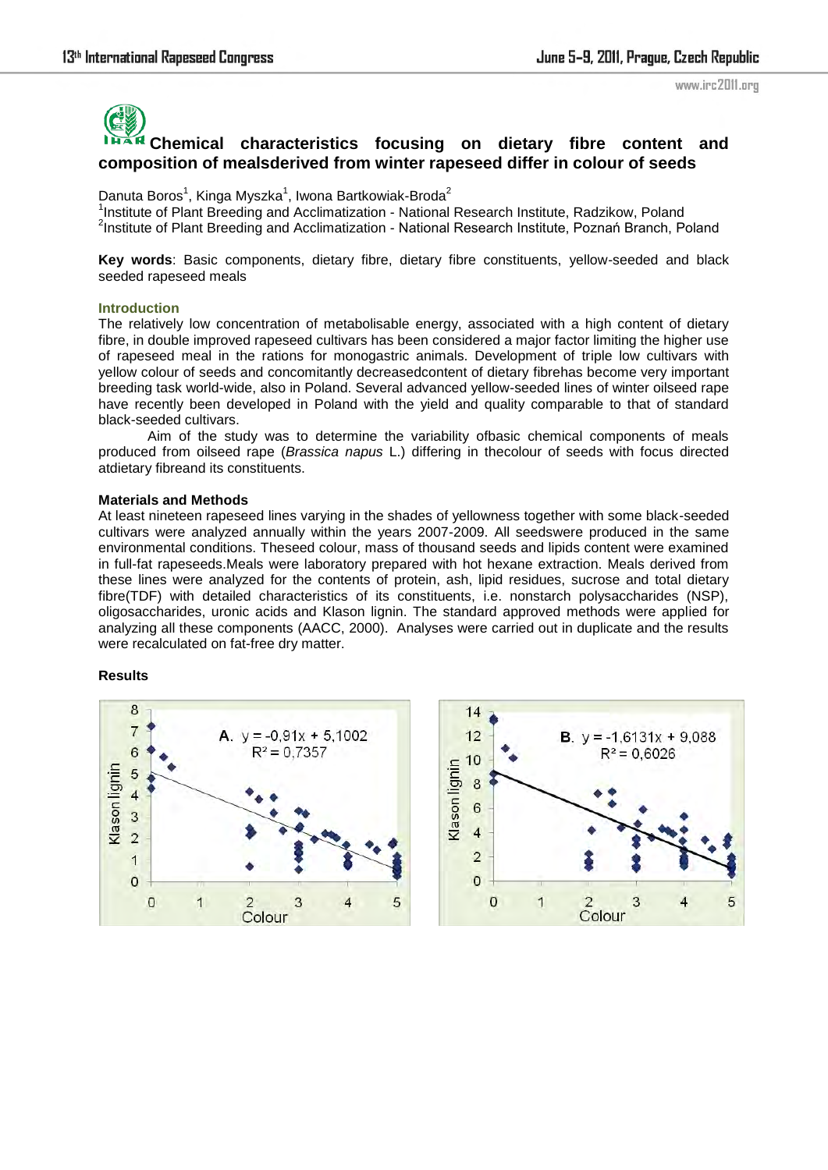www.irc2011.org

# **Chemical characteristics focusing on dietary fibre content and composition of mealsderived from winter rapeseed differ in colour of seeds**

Danuta Boros<sup>1</sup>, Kinga Myszka<sup>1</sup>, Iwona Bartkowiak-Broda<sup>2</sup>

<sup>1</sup>Institute of Plant Breeding and Acclimatization - National Research Institute, Radzikow, Poland <sup>2</sup>Institute of Plant Breeding and Acclimatization - National Research Institute, Poznań Branch, Poland

**Key words**: Basic components, dietary fibre, dietary fibre constituents, yellow-seeded and black seeded rapeseed meals

## **Introduction**

The relatively low concentration of metabolisable energy, associated with a high content of dietary fibre, in double improved rapeseed cultivars has been considered a major factor limiting the higher use of rapeseed meal in the rations for monogastric animals. Development of triple low cultivars with yellow colour of seeds and concomitantly decreasedcontent of dietary fibrehas become very important breeding task world-wide, also in Poland. Several advanced yellow-seeded lines of winter oilseed rape have recently been developed in Poland with the yield and quality comparable to that of standard black-seeded cultivars.

Aim of the study was to determine the variability ofbasic chemical components of meals produced from oilseed rape (*Brassica napus* L.) differing in thecolour of seeds with focus directed atdietary fibreand its constituents.

## **Materials and Methods**

At least nineteen rapeseed lines varying in the shades of yellowness together with some black-seeded cultivars were analyzed annually within the years 2007-2009. All seedswere produced in the same environmental conditions. Theseed colour, mass of thousand seeds and lipids content were examined in full-fat rapeseeds.Meals were laboratory prepared with hot hexane extraction. Meals derived from these lines were analyzed for the contents of protein, ash, lipid residues, sucrose and total dietary fibre(TDF) with detailed characteristics of its constituents, i.e. nonstarch polysaccharides (NSP), oligosaccharides, uronic acids and Klason lignin. The standard approved methods were applied for analyzing all these components (AACC, 2000). Analyses were carried out in duplicate and the results were recalculated on fat-free dry matter.

## **Results**